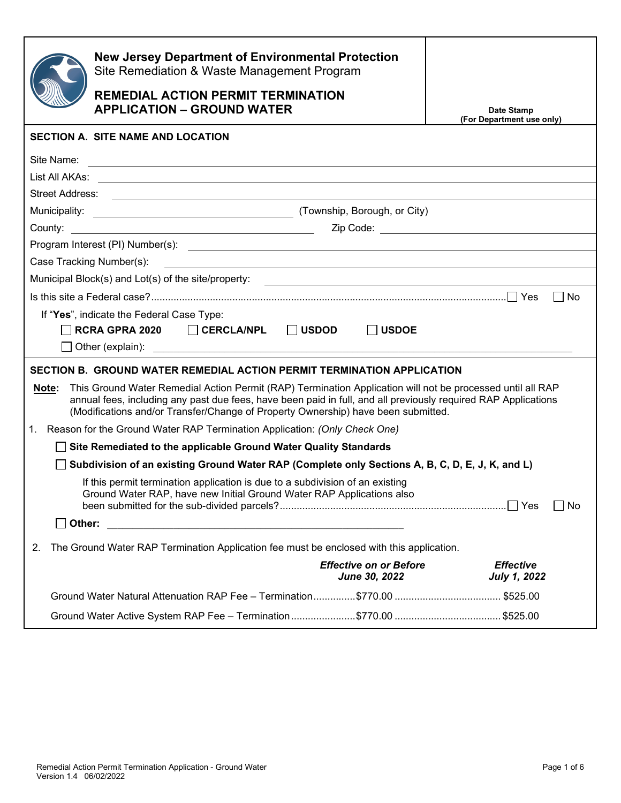|                                                                                                                                                                                                                                                                                                                            | <b>New Jersey Department of Environmental Protection</b><br>Site Remediation & Waste Management Program<br><b>REMEDIAL ACTION PERMIT TERMINATION</b><br><b>APPLICATION - GROUND WATER</b> | Date Stamp<br>(For Department use only) |  |  |
|----------------------------------------------------------------------------------------------------------------------------------------------------------------------------------------------------------------------------------------------------------------------------------------------------------------------------|-------------------------------------------------------------------------------------------------------------------------------------------------------------------------------------------|-----------------------------------------|--|--|
|                                                                                                                                                                                                                                                                                                                            | <b>SECTION A. SITE NAME AND LOCATION</b>                                                                                                                                                  |                                         |  |  |
| Site Name:                                                                                                                                                                                                                                                                                                                 | <u> 1989 - Johann Stoff, deutscher Stoffen und der Stoffen und der Stoffen und der Stoffen und der Stoffen und der</u>                                                                    |                                         |  |  |
|                                                                                                                                                                                                                                                                                                                            |                                                                                                                                                                                           |                                         |  |  |
|                                                                                                                                                                                                                                                                                                                            |                                                                                                                                                                                           |                                         |  |  |
|                                                                                                                                                                                                                                                                                                                            |                                                                                                                                                                                           |                                         |  |  |
|                                                                                                                                                                                                                                                                                                                            | County: <u>County:</u> Zip Code: <u>Zip Code:</u> Zip Code: 2008.                                                                                                                         |                                         |  |  |
|                                                                                                                                                                                                                                                                                                                            |                                                                                                                                                                                           |                                         |  |  |
|                                                                                                                                                                                                                                                                                                                            | Case Tracking Number(s):<br><u> 1980 - Jan Samuel Barbara, margaret e populari e populari e populari e populari e populari e populari e popu</u>                                          |                                         |  |  |
|                                                                                                                                                                                                                                                                                                                            | Municipal Block(s) and Lot(s) of the site/property:<br><u> and the site of the site/property:</u>                                                                                         |                                         |  |  |
|                                                                                                                                                                                                                                                                                                                            |                                                                                                                                                                                           | l I No                                  |  |  |
| If "Yes", indicate the Federal Case Type:<br><b>RCRA GPRA 2020</b><br>$\Box$ CERCLA/NPL<br>$\Box$ USDOD<br><b>USDOE</b><br>$\perp$                                                                                                                                                                                         |                                                                                                                                                                                           |                                         |  |  |
| SECTION B. GROUND WATER REMEDIAL ACTION PERMIT TERMINATION APPLICATION                                                                                                                                                                                                                                                     |                                                                                                                                                                                           |                                         |  |  |
| This Ground Water Remedial Action Permit (RAP) Termination Application will not be processed until all RAP<br>Note:<br>annual fees, including any past due fees, have been paid in full, and all previously required RAP Applications<br>(Modifications and/or Transfer/Change of Property Ownership) have been submitted. |                                                                                                                                                                                           |                                         |  |  |
| 1.                                                                                                                                                                                                                                                                                                                         | Reason for the Ground Water RAP Termination Application: (Only Check One)                                                                                                                 |                                         |  |  |
| Site Remediated to the applicable Ground Water Quality Standards                                                                                                                                                                                                                                                           |                                                                                                                                                                                           |                                         |  |  |
| Subdivision of an existing Ground Water RAP (Complete only Sections A, B, C, D, E, J, K, and L)                                                                                                                                                                                                                            |                                                                                                                                                                                           |                                         |  |  |
|                                                                                                                                                                                                                                                                                                                            | If this permit termination application is due to a subdivision of an existing<br>Ground Water RAP, have new Initial Ground Water RAP Applications also                                    | No                                      |  |  |
| $\Box$ Other:                                                                                                                                                                                                                                                                                                              | <u> 1989 - Johann Barbara, martin amerikan basar da</u>                                                                                                                                   |                                         |  |  |
| The Ground Water RAP Termination Application fee must be enclosed with this application.<br>2.                                                                                                                                                                                                                             |                                                                                                                                                                                           |                                         |  |  |
|                                                                                                                                                                                                                                                                                                                            | <b>Effective on or Before</b><br>June 30, 2022                                                                                                                                            | <b>Effective</b><br><b>July 1, 2022</b> |  |  |
|                                                                                                                                                                                                                                                                                                                            |                                                                                                                                                                                           |                                         |  |  |
|                                                                                                                                                                                                                                                                                                                            |                                                                                                                                                                                           |                                         |  |  |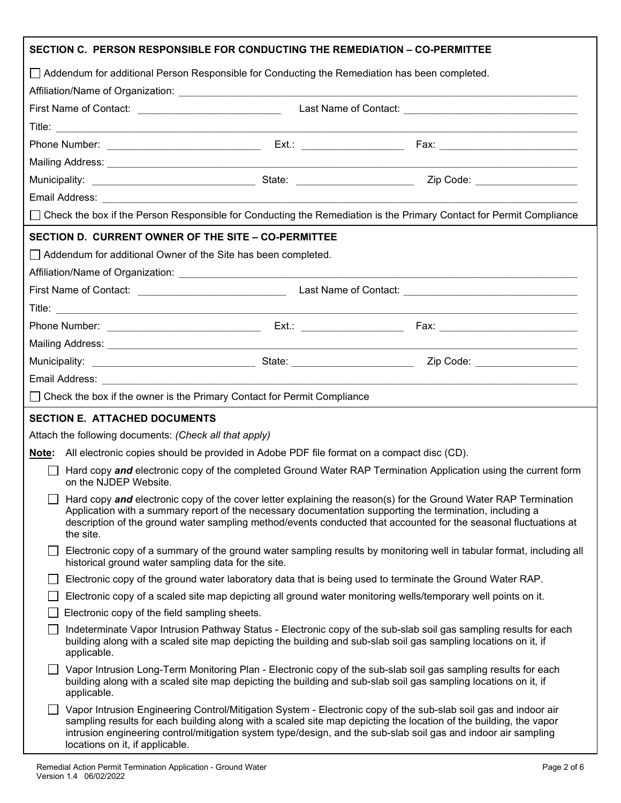| SECTION C. PERSON RESPONSIBLE FOR CONDUCTING THE REMEDIATION - CO-PERMITTEE                                                                                                                                                                                                                                                                                  |                                                                                                                                                                                                                                                     |  |                                                                                                                                                                                                                                                                                                                                                        |  |
|--------------------------------------------------------------------------------------------------------------------------------------------------------------------------------------------------------------------------------------------------------------------------------------------------------------------------------------------------------------|-----------------------------------------------------------------------------------------------------------------------------------------------------------------------------------------------------------------------------------------------------|--|--------------------------------------------------------------------------------------------------------------------------------------------------------------------------------------------------------------------------------------------------------------------------------------------------------------------------------------------------------|--|
|                                                                                                                                                                                                                                                                                                                                                              |                                                                                                                                                                                                                                                     |  | □ Addendum for additional Person Responsible for Conducting the Remediation has been completed.                                                                                                                                                                                                                                                        |  |
|                                                                                                                                                                                                                                                                                                                                                              |                                                                                                                                                                                                                                                     |  |                                                                                                                                                                                                                                                                                                                                                        |  |
|                                                                                                                                                                                                                                                                                                                                                              |                                                                                                                                                                                                                                                     |  |                                                                                                                                                                                                                                                                                                                                                        |  |
|                                                                                                                                                                                                                                                                                                                                                              |                                                                                                                                                                                                                                                     |  |                                                                                                                                                                                                                                                                                                                                                        |  |
|                                                                                                                                                                                                                                                                                                                                                              |                                                                                                                                                                                                                                                     |  |                                                                                                                                                                                                                                                                                                                                                        |  |
|                                                                                                                                                                                                                                                                                                                                                              |                                                                                                                                                                                                                                                     |  |                                                                                                                                                                                                                                                                                                                                                        |  |
|                                                                                                                                                                                                                                                                                                                                                              |                                                                                                                                                                                                                                                     |  |                                                                                                                                                                                                                                                                                                                                                        |  |
|                                                                                                                                                                                                                                                                                                                                                              |                                                                                                                                                                                                                                                     |  |                                                                                                                                                                                                                                                                                                                                                        |  |
|                                                                                                                                                                                                                                                                                                                                                              |                                                                                                                                                                                                                                                     |  | □ Check the box if the Person Responsible for Conducting the Remediation is the Primary Contact for Permit Compliance                                                                                                                                                                                                                                  |  |
|                                                                                                                                                                                                                                                                                                                                                              | SECTION D. CURRENT OWNER OF THE SITE - CO-PERMITTEE                                                                                                                                                                                                 |  |                                                                                                                                                                                                                                                                                                                                                        |  |
|                                                                                                                                                                                                                                                                                                                                                              | Addendum for additional Owner of the Site has been completed.                                                                                                                                                                                       |  |                                                                                                                                                                                                                                                                                                                                                        |  |
|                                                                                                                                                                                                                                                                                                                                                              |                                                                                                                                                                                                                                                     |  |                                                                                                                                                                                                                                                                                                                                                        |  |
|                                                                                                                                                                                                                                                                                                                                                              |                                                                                                                                                                                                                                                     |  |                                                                                                                                                                                                                                                                                                                                                        |  |
|                                                                                                                                                                                                                                                                                                                                                              |                                                                                                                                                                                                                                                     |  |                                                                                                                                                                                                                                                                                                                                                        |  |
|                                                                                                                                                                                                                                                                                                                                                              |                                                                                                                                                                                                                                                     |  |                                                                                                                                                                                                                                                                                                                                                        |  |
|                                                                                                                                                                                                                                                                                                                                                              |                                                                                                                                                                                                                                                     |  |                                                                                                                                                                                                                                                                                                                                                        |  |
|                                                                                                                                                                                                                                                                                                                                                              |                                                                                                                                                                                                                                                     |  |                                                                                                                                                                                                                                                                                                                                                        |  |
|                                                                                                                                                                                                                                                                                                                                                              |                                                                                                                                                                                                                                                     |  |                                                                                                                                                                                                                                                                                                                                                        |  |
|                                                                                                                                                                                                                                                                                                                                                              | $\Box$ Check the box if the owner is the Primary Contact for Permit Compliance                                                                                                                                                                      |  |                                                                                                                                                                                                                                                                                                                                                        |  |
|                                                                                                                                                                                                                                                                                                                                                              | <b>SECTION E. ATTACHED DOCUMENTS</b>                                                                                                                                                                                                                |  |                                                                                                                                                                                                                                                                                                                                                        |  |
|                                                                                                                                                                                                                                                                                                                                                              | Attach the following documents: (Check all that apply)                                                                                                                                                                                              |  |                                                                                                                                                                                                                                                                                                                                                        |  |
|                                                                                                                                                                                                                                                                                                                                                              |                                                                                                                                                                                                                                                     |  |                                                                                                                                                                                                                                                                                                                                                        |  |
|                                                                                                                                                                                                                                                                                                                                                              | Note: All electronic copies should be provided in Adobe PDF file format on a compact disc (CD).<br>Hard copy and electronic copy of the completed Ground Water RAP Termination Application using the current form<br>on the NJDEP Website.          |  |                                                                                                                                                                                                                                                                                                                                                        |  |
| Hard copy and electronic copy of the cover letter explaining the reason(s) for the Ground Water RAP Termination<br>Application with a summary report of the necessary documentation supporting the termination, including a<br>description of the ground water sampling method/events conducted that accounted for the seasonal fluctuations at<br>the site. |                                                                                                                                                                                                                                                     |  |                                                                                                                                                                                                                                                                                                                                                        |  |
|                                                                                                                                                                                                                                                                                                                                                              | Electronic copy of a summary of the ground water sampling results by monitoring well in tabular format, including all<br>historical ground water sampling data for the site.                                                                        |  |                                                                                                                                                                                                                                                                                                                                                        |  |
|                                                                                                                                                                                                                                                                                                                                                              | Electronic copy of the ground water laboratory data that is being used to terminate the Ground Water RAP.                                                                                                                                           |  |                                                                                                                                                                                                                                                                                                                                                        |  |
|                                                                                                                                                                                                                                                                                                                                                              | Electronic copy of a scaled site map depicting all ground water monitoring wells/temporary well points on it.                                                                                                                                       |  |                                                                                                                                                                                                                                                                                                                                                        |  |
|                                                                                                                                                                                                                                                                                                                                                              | Electronic copy of the field sampling sheets.                                                                                                                                                                                                       |  |                                                                                                                                                                                                                                                                                                                                                        |  |
|                                                                                                                                                                                                                                                                                                                                                              | Indeterminate Vapor Intrusion Pathway Status - Electronic copy of the sub-slab soil gas sampling results for each<br>building along with a scaled site map depicting the building and sub-slab soil gas sampling locations on it, if<br>applicable. |  |                                                                                                                                                                                                                                                                                                                                                        |  |
|                                                                                                                                                                                                                                                                                                                                                              | Vapor Intrusion Long-Term Monitoring Plan - Electronic copy of the sub-slab soil gas sampling results for each<br>building along with a scaled site map depicting the building and sub-slab soil gas sampling locations on it, if<br>applicable.    |  |                                                                                                                                                                                                                                                                                                                                                        |  |
|                                                                                                                                                                                                                                                                                                                                                              | locations on it, if applicable.                                                                                                                                                                                                                     |  | Vapor Intrusion Engineering Control/Mitigation System - Electronic copy of the sub-slab soil gas and indoor air<br>sampling results for each building along with a scaled site map depicting the location of the building, the vapor<br>intrusion engineering control/mitigation system type/design, and the sub-slab soil gas and indoor air sampling |  |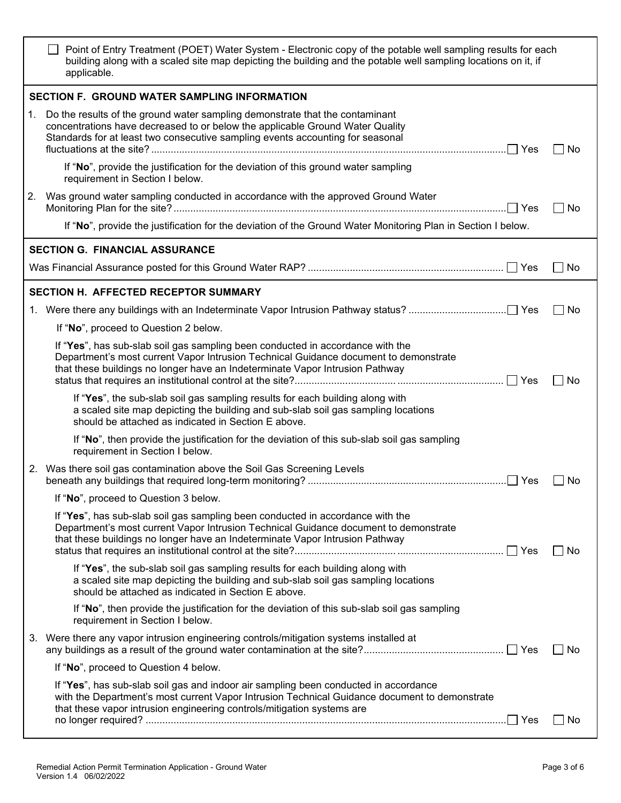|    | Point of Entry Treatment (POET) Water System - Electronic copy of the potable well sampling results for each<br>building along with a scaled site map depicting the building and the potable well sampling locations on it, if<br>applicable.                   |       |
|----|-----------------------------------------------------------------------------------------------------------------------------------------------------------------------------------------------------------------------------------------------------------------|-------|
|    | <b>SECTION F. GROUND WATER SAMPLING INFORMATION</b>                                                                                                                                                                                                             |       |
| 1. | Do the results of the ground water sampling demonstrate that the contaminant<br>concentrations have decreased to or below the applicable Ground Water Quality<br>Standards for at least two consecutive sampling events accounting for seasonal                 | No    |
|    | If "No", provide the justification for the deviation of this ground water sampling<br>requirement in Section I below.                                                                                                                                           |       |
| 2. | Was ground water sampling conducted in accordance with the approved Ground Water                                                                                                                                                                                | No    |
|    | If "No", provide the justification for the deviation of the Ground Water Monitoring Plan in Section I below.                                                                                                                                                    |       |
|    | <b>SECTION G. FINANCIAL ASSURANCE</b>                                                                                                                                                                                                                           |       |
|    |                                                                                                                                                                                                                                                                 | No    |
|    | <b>SECTION H. AFFECTED RECEPTOR SUMMARY</b>                                                                                                                                                                                                                     |       |
|    |                                                                                                                                                                                                                                                                 | No    |
|    | If "No", proceed to Question 2 below.                                                                                                                                                                                                                           |       |
|    | If "Yes", has sub-slab soil gas sampling been conducted in accordance with the<br>Department's most current Vapor Intrusion Technical Guidance document to demonstrate<br>that these buildings no longer have an Indeterminate Vapor Intrusion Pathway          | No    |
|    | If "Yes", the sub-slab soil gas sampling results for each building along with<br>a scaled site map depicting the building and sub-slab soil gas sampling locations<br>should be attached as indicated in Section E above.                                       |       |
|    | If "No", then provide the justification for the deviation of this sub-slab soil gas sampling<br>requirement in Section I below.                                                                                                                                 |       |
|    | 2. Was there soil gas contamination above the Soil Gas Screening Levels                                                                                                                                                                                         | No    |
|    | If "No", proceed to Question 3 below.                                                                                                                                                                                                                           |       |
|    | If "Yes", has sub-slab soil gas sampling been conducted in accordance with the<br>Department's most current Vapor Intrusion Technical Guidance document to demonstrate<br>that these buildings no longer have an Indeterminate Vapor Intrusion Pathway          | ∐ No  |
|    | If "Yes", the sub-slab soil gas sampling results for each building along with<br>a scaled site map depicting the building and sub-slab soil gas sampling locations<br>should be attached as indicated in Section E above.                                       |       |
|    | If "No", then provide the justification for the deviation of this sub-slab soil gas sampling<br>requirement in Section I below.                                                                                                                                 |       |
|    | 3. Were there any vapor intrusion engineering controls/mitigation systems installed at                                                                                                                                                                          | No    |
|    | If "No", proceed to Question 4 below.                                                                                                                                                                                                                           |       |
|    | If "Yes", has sub-slab soil gas and indoor air sampling been conducted in accordance<br>with the Department's most current Vapor Intrusion Technical Guidance document to demonstrate<br>that these vapor intrusion engineering controls/mitigation systems are | ∣ ∣No |
|    |                                                                                                                                                                                                                                                                 |       |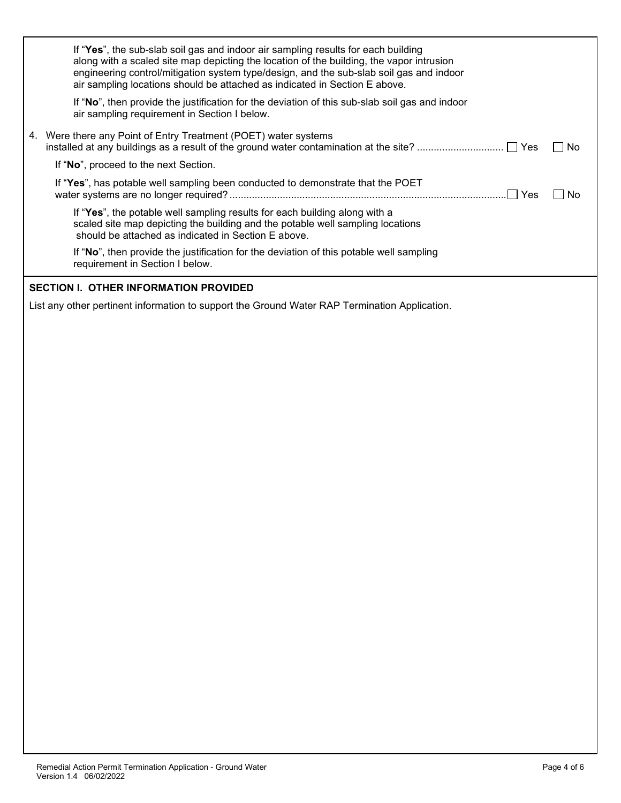| If "Yes", the sub-slab soil gas and indoor air sampling results for each building<br>along with a scaled site map depicting the location of the building, the vapor intrusion<br>engineering control/mitigation system type/design, and the sub-slab soil gas and indoor<br>air sampling locations should be attached as indicated in Section E above. |        |
|--------------------------------------------------------------------------------------------------------------------------------------------------------------------------------------------------------------------------------------------------------------------------------------------------------------------------------------------------------|--------|
| If "No", then provide the justification for the deviation of this sub-slab soil gas and indoor<br>air sampling requirement in Section I below.                                                                                                                                                                                                         |        |
| 4. Were there any Point of Entry Treatment (POET) water systems                                                                                                                                                                                                                                                                                        | – I No |
| If "No", proceed to the next Section.                                                                                                                                                                                                                                                                                                                  |        |
| If "Yes", has potable well sampling been conducted to demonstrate that the POET                                                                                                                                                                                                                                                                        | No     |
| If "Yes", the potable well sampling results for each building along with a<br>scaled site map depicting the building and the potable well sampling locations<br>should be attached as indicated in Section E above.                                                                                                                                    |        |
| If "No", then provide the justification for the deviation of this potable well sampling<br>requirement in Section I below.                                                                                                                                                                                                                             |        |
| <b>SECTION I. OTHER INFORMATION PROVIDED</b>                                                                                                                                                                                                                                                                                                           |        |
| List any other pertinent information to support the Ground Water RAP Termination Application.                                                                                                                                                                                                                                                          |        |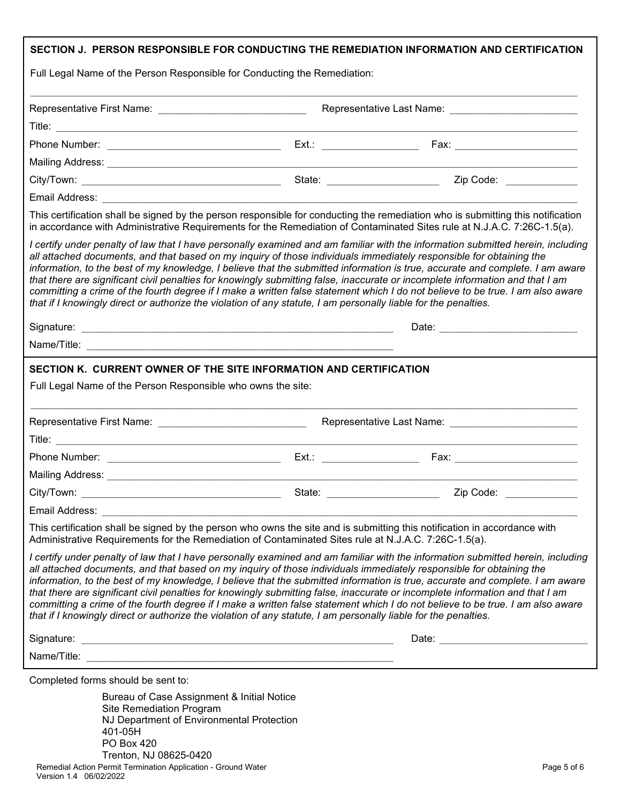| Full Legal Name of the Person Responsible for Conducting the Remediation:                                                                                                                                                              |                                                                                                                      | SECTION J. PERSON RESPONSIBLE FOR CONDUCTING THE REMEDIATION INFORMATION AND CERTIFICATION                                                                                                                                                                                                                                                                                                                                                                                                                                          |  |
|----------------------------------------------------------------------------------------------------------------------------------------------------------------------------------------------------------------------------------------|----------------------------------------------------------------------------------------------------------------------|-------------------------------------------------------------------------------------------------------------------------------------------------------------------------------------------------------------------------------------------------------------------------------------------------------------------------------------------------------------------------------------------------------------------------------------------------------------------------------------------------------------------------------------|--|
|                                                                                                                                                                                                                                        |                                                                                                                      |                                                                                                                                                                                                                                                                                                                                                                                                                                                                                                                                     |  |
|                                                                                                                                                                                                                                        |                                                                                                                      |                                                                                                                                                                                                                                                                                                                                                                                                                                                                                                                                     |  |
|                                                                                                                                                                                                                                        |                                                                                                                      |                                                                                                                                                                                                                                                                                                                                                                                                                                                                                                                                     |  |
|                                                                                                                                                                                                                                        |                                                                                                                      |                                                                                                                                                                                                                                                                                                                                                                                                                                                                                                                                     |  |
|                                                                                                                                                                                                                                        |                                                                                                                      |                                                                                                                                                                                                                                                                                                                                                                                                                                                                                                                                     |  |
| Email Address: New York Street, New York Street, New York Street, New York Street, New York Street, New York Street, New York Street, New York Street, New York Street, New York Street, New York Street, New York Street, New         |                                                                                                                      |                                                                                                                                                                                                                                                                                                                                                                                                                                                                                                                                     |  |
|                                                                                                                                                                                                                                        |                                                                                                                      | This certification shall be signed by the person responsible for conducting the remediation who is submitting this notification<br>in accordance with Administrative Requirements for the Remediation of Contaminated Sites rule at N.J.A.C. 7:26C-1.5(a).                                                                                                                                                                                                                                                                          |  |
| all attached documents, and that based on my inquiry of those individuals immediately responsible for obtaining the<br>that if I knowingly direct or authorize the violation of any statute, I am personally liable for the penalties. |                                                                                                                      | I certify under penalty of law that I have personally examined and am familiar with the information submitted herein, including<br>information, to the best of my knowledge, I believe that the submitted information is true, accurate and complete. I am aware<br>that there are significant civil penalties for knowingly submitting false, inaccurate or incomplete information and that I am<br>committing a crime of the fourth degree if I make a written false statement which I do not believe to be true. I am also aware |  |
|                                                                                                                                                                                                                                        |                                                                                                                      |                                                                                                                                                                                                                                                                                                                                                                                                                                                                                                                                     |  |
|                                                                                                                                                                                                                                        |                                                                                                                      |                                                                                                                                                                                                                                                                                                                                                                                                                                                                                                                                     |  |
|                                                                                                                                                                                                                                        | Representative Last Name: ____________________________                                                               |                                                                                                                                                                                                                                                                                                                                                                                                                                                                                                                                     |  |
|                                                                                                                                                                                                                                        |                                                                                                                      |                                                                                                                                                                                                                                                                                                                                                                                                                                                                                                                                     |  |
|                                                                                                                                                                                                                                        |                                                                                                                      |                                                                                                                                                                                                                                                                                                                                                                                                                                                                                                                                     |  |
| City/Town:                                                                                                                                                                                                                             | State:                                                                                                               | Zip Code:                                                                                                                                                                                                                                                                                                                                                                                                                                                                                                                           |  |
| Email Address:                                                                                                                                                                                                                         |                                                                                                                      |                                                                                                                                                                                                                                                                                                                                                                                                                                                                                                                                     |  |
| This certification shall be signed by the person who owns the site and is submitting this notification in accordance with<br>Administrative Requirements for the Remediation of Contaminated Sites rule at N.J.A.C. 7:26C-1.5(a).      |                                                                                                                      |                                                                                                                                                                                                                                                                                                                                                                                                                                                                                                                                     |  |
| all attached documents, and that based on my inquiry of those individuals immediately responsible for obtaining the<br>that if I knowingly direct or authorize the violation of any statute, I am personally liable for the penalties. |                                                                                                                      | I certify under penalty of law that I have personally examined and am familiar with the information submitted herein, including<br>information, to the best of my knowledge, I believe that the submitted information is true, accurate and complete. I am aware<br>that there are significant civil penalties for knowingly submitting false, inaccurate or incomplete information and that I am<br>committing a crime of the fourth degree if I make a written false statement which I do not believe to be true. I am also aware |  |
| Signature:                                                                                                                                                                                                                             |                                                                                                                      |                                                                                                                                                                                                                                                                                                                                                                                                                                                                                                                                     |  |
| Name/Title:                                                                                                                                                                                                                            | <u> 2000 - Jan James James James James James James James James James James James James James James James James J</u> |                                                                                                                                                                                                                                                                                                                                                                                                                                                                                                                                     |  |
| Completed forms should be sent to:                                                                                                                                                                                                     |                                                                                                                      |                                                                                                                                                                                                                                                                                                                                                                                                                                                                                                                                     |  |
| Bureau of Case Assignment & Initial Notice<br>Site Remediation Program<br>NJ Department of Environmental Protection<br>401-05H                                                                                                         |                                                                                                                      |                                                                                                                                                                                                                                                                                                                                                                                                                                                                                                                                     |  |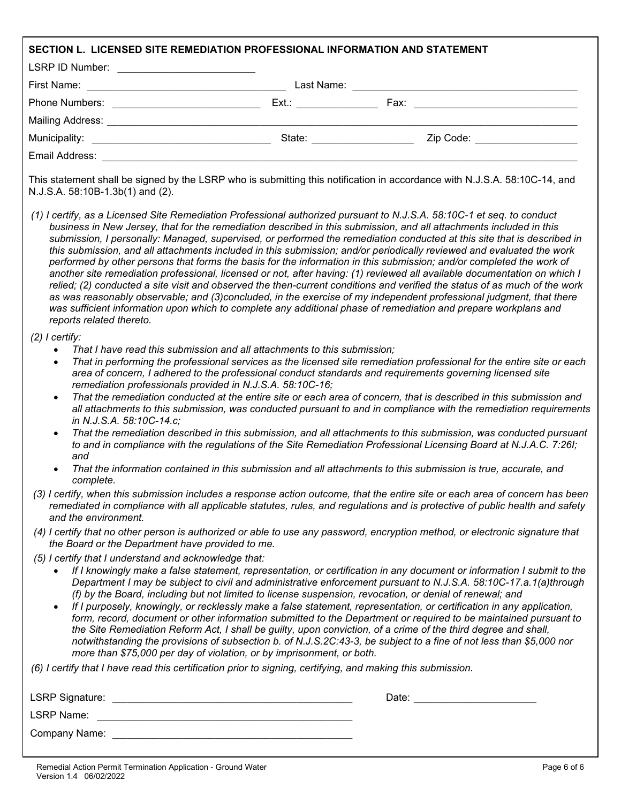| SECTION L. LICENSED SITE REMEDIATION PROFESSIONAL INFORMATION AND STATEMENT                                                                                                                                                    |                                                                                                                                                                                                                                                                                                                                                                                                                                                                                                                                                                                                                                                                                                                                                                                                                                                                                                                                                                                                                                                                                                                                |
|--------------------------------------------------------------------------------------------------------------------------------------------------------------------------------------------------------------------------------|--------------------------------------------------------------------------------------------------------------------------------------------------------------------------------------------------------------------------------------------------------------------------------------------------------------------------------------------------------------------------------------------------------------------------------------------------------------------------------------------------------------------------------------------------------------------------------------------------------------------------------------------------------------------------------------------------------------------------------------------------------------------------------------------------------------------------------------------------------------------------------------------------------------------------------------------------------------------------------------------------------------------------------------------------------------------------------------------------------------------------------|
| LSRP ID Number: ___________________________                                                                                                                                                                                    |                                                                                                                                                                                                                                                                                                                                                                                                                                                                                                                                                                                                                                                                                                                                                                                                                                                                                                                                                                                                                                                                                                                                |
|                                                                                                                                                                                                                                |                                                                                                                                                                                                                                                                                                                                                                                                                                                                                                                                                                                                                                                                                                                                                                                                                                                                                                                                                                                                                                                                                                                                |
|                                                                                                                                                                                                                                |                                                                                                                                                                                                                                                                                                                                                                                                                                                                                                                                                                                                                                                                                                                                                                                                                                                                                                                                                                                                                                                                                                                                |
|                                                                                                                                                                                                                                |                                                                                                                                                                                                                                                                                                                                                                                                                                                                                                                                                                                                                                                                                                                                                                                                                                                                                                                                                                                                                                                                                                                                |
|                                                                                                                                                                                                                                | State: ______________________<br>Zip Code: ___________________                                                                                                                                                                                                                                                                                                                                                                                                                                                                                                                                                                                                                                                                                                                                                                                                                                                                                                                                                                                                                                                                 |
| Email Address: Web and the Contract of the Contract of the Contract of the Contract of the Contract of the Contract of the Contract of the Contract of the Contract of the Contract of the Contract of the Contract of the Con |                                                                                                                                                                                                                                                                                                                                                                                                                                                                                                                                                                                                                                                                                                                                                                                                                                                                                                                                                                                                                                                                                                                                |
| N.J.S.A. 58:10B-1.3b(1) and (2).                                                                                                                                                                                               | This statement shall be signed by the LSRP who is submitting this notification in accordance with N.J.S.A. 58:10C-14, and                                                                                                                                                                                                                                                                                                                                                                                                                                                                                                                                                                                                                                                                                                                                                                                                                                                                                                                                                                                                      |
| reports related thereto.                                                                                                                                                                                                       | (1) I certify, as a Licensed Site Remediation Professional authorized pursuant to N.J.S.A. 58:10C-1 et seq. to conduct<br>business in New Jersey, that for the remediation described in this submission, and all attachments included in this<br>submission, I personally: Managed, supervised, or performed the remediation conducted at this site that is described in<br>this submission, and all attachments included in this submission; and/or periodically reviewed and evaluated the work<br>performed by other persons that forms the basis for the information in this submission; and/or completed the work of<br>another site remediation professional, licensed or not, after having: (1) reviewed all available documentation on which I<br>relied; (2) conducted a site visit and observed the then-current conditions and verified the status of as much of the work<br>as was reasonably observable; and (3)concluded, in the exercise of my independent professional judgment, that there<br>was sufficient information upon which to complete any additional phase of remediation and prepare workplans and |
| $(2)$ I certify:                                                                                                                                                                                                               |                                                                                                                                                                                                                                                                                                                                                                                                                                                                                                                                                                                                                                                                                                                                                                                                                                                                                                                                                                                                                                                                                                                                |
| That I have read this submission and all attachments to this submission;<br>$\bullet$<br>$\bullet$<br>remediation professionals provided in N.J.S.A. 58:10C-16;<br>$\bullet$                                                   | That in performing the professional services as the licensed site remediation professional for the entire site or each<br>area of concern, I adhered to the professional conduct standards and requirements governing licensed site<br>That the remediation conducted at the entire site or each area of concern, that is described in this submission and<br>all attachments to this submission, was conducted pursuant to and in compliance with the remediation requirements                                                                                                                                                                                                                                                                                                                                                                                                                                                                                                                                                                                                                                                |
| in N.J.S.A. 58:10C-14.c;<br>and                                                                                                                                                                                                | That the remediation described in this submission, and all attachments to this submission, was conducted pursuant<br>to and in compliance with the regulations of the Site Remediation Professional Licensing Board at N.J.A.C. 7:26I;                                                                                                                                                                                                                                                                                                                                                                                                                                                                                                                                                                                                                                                                                                                                                                                                                                                                                         |
| complete.                                                                                                                                                                                                                      | That the information contained in this submission and all attachments to this submission is true, accurate, and                                                                                                                                                                                                                                                                                                                                                                                                                                                                                                                                                                                                                                                                                                                                                                                                                                                                                                                                                                                                                |
| and the environment.                                                                                                                                                                                                           | (3) I certify, when this submission includes a response action outcome, that the entire site or each area of concern has been<br>remediated in compliance with all applicable statutes, rules, and regulations and is protective of public health and safety                                                                                                                                                                                                                                                                                                                                                                                                                                                                                                                                                                                                                                                                                                                                                                                                                                                                   |
| the Board or the Department have provided to me.                                                                                                                                                                               | (4) I certify that no other person is authorized or able to use any password, encryption method, or electronic signature that                                                                                                                                                                                                                                                                                                                                                                                                                                                                                                                                                                                                                                                                                                                                                                                                                                                                                                                                                                                                  |
| (5) I certify that I understand and acknowledge that:<br>more than \$75,000 per day of violation, or by imprisonment, or both.                                                                                                 | If I knowingly make a false statement, representation, or certification in any document or information I submit to the<br>Department I may be subject to civil and administrative enforcement pursuant to N.J.S.A. 58:10C-17.a.1(a)through<br>(f) by the Board, including but not limited to license suspension, revocation, or denial of renewal; and<br>If I purposely, knowingly, or recklessly make a false statement, representation, or certification in any application,<br>form, record, document or other information submitted to the Department or required to be maintained pursuant to<br>the Site Remediation Reform Act, I shall be guilty, upon conviction, of a crime of the third degree and shall,<br>notwithstanding the provisions of subsection b. of N.J.S.2C:43-3, be subject to a fine of not less than \$5,000 nor                                                                                                                                                                                                                                                                                   |
| (6) I certify that I have read this certification prior to signing, certifying, and making this submission.                                                                                                                    |                                                                                                                                                                                                                                                                                                                                                                                                                                                                                                                                                                                                                                                                                                                                                                                                                                                                                                                                                                                                                                                                                                                                |
|                                                                                                                                                                                                                                | Date: ___________________________                                                                                                                                                                                                                                                                                                                                                                                                                                                                                                                                                                                                                                                                                                                                                                                                                                                                                                                                                                                                                                                                                              |
| <b>LSRP Name:</b>                                                                                                                                                                                                              |                                                                                                                                                                                                                                                                                                                                                                                                                                                                                                                                                                                                                                                                                                                                                                                                                                                                                                                                                                                                                                                                                                                                |

Company Name: \_\_\_\_\_\_\_\_\_\_\_\_\_\_\_\_\_\_\_\_\_\_\_\_\_\_\_\_\_\_\_\_\_\_\_\_\_\_\_\_\_\_\_\_\_\_\_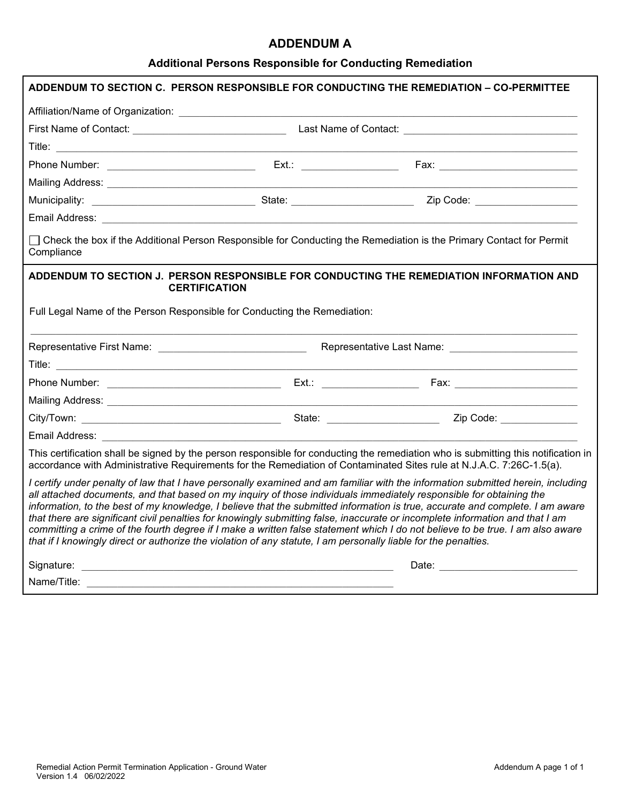## **ADDENDUM A**

## **Additional Persons Responsible for Conducting Remediation**

|                                                                                                                                                                                                                                                                                                                                                                                                                                                                                                                                                                                                                                                                                                                                                                               |  | ADDENDUM TO SECTION C. PERSON RESPONSIBLE FOR CONDUCTING THE REMEDIATION - CO-PERMITTEE |
|-------------------------------------------------------------------------------------------------------------------------------------------------------------------------------------------------------------------------------------------------------------------------------------------------------------------------------------------------------------------------------------------------------------------------------------------------------------------------------------------------------------------------------------------------------------------------------------------------------------------------------------------------------------------------------------------------------------------------------------------------------------------------------|--|-----------------------------------------------------------------------------------------|
|                                                                                                                                                                                                                                                                                                                                                                                                                                                                                                                                                                                                                                                                                                                                                                               |  |                                                                                         |
|                                                                                                                                                                                                                                                                                                                                                                                                                                                                                                                                                                                                                                                                                                                                                                               |  |                                                                                         |
|                                                                                                                                                                                                                                                                                                                                                                                                                                                                                                                                                                                                                                                                                                                                                                               |  |                                                                                         |
|                                                                                                                                                                                                                                                                                                                                                                                                                                                                                                                                                                                                                                                                                                                                                                               |  |                                                                                         |
|                                                                                                                                                                                                                                                                                                                                                                                                                                                                                                                                                                                                                                                                                                                                                                               |  |                                                                                         |
|                                                                                                                                                                                                                                                                                                                                                                                                                                                                                                                                                                                                                                                                                                                                                                               |  |                                                                                         |
|                                                                                                                                                                                                                                                                                                                                                                                                                                                                                                                                                                                                                                                                                                                                                                               |  |                                                                                         |
| □ Check the box if the Additional Person Responsible for Conducting the Remediation is the Primary Contact for Permit<br>Compliance                                                                                                                                                                                                                                                                                                                                                                                                                                                                                                                                                                                                                                           |  |                                                                                         |
| ADDENDUM TO SECTION J. PERSON RESPONSIBLE FOR CONDUCTING THE REMEDIATION INFORMATION AND<br><b>CERTIFICATION</b>                                                                                                                                                                                                                                                                                                                                                                                                                                                                                                                                                                                                                                                              |  |                                                                                         |
| Full Legal Name of the Person Responsible for Conducting the Remediation:                                                                                                                                                                                                                                                                                                                                                                                                                                                                                                                                                                                                                                                                                                     |  |                                                                                         |
|                                                                                                                                                                                                                                                                                                                                                                                                                                                                                                                                                                                                                                                                                                                                                                               |  |                                                                                         |
|                                                                                                                                                                                                                                                                                                                                                                                                                                                                                                                                                                                                                                                                                                                                                                               |  |                                                                                         |
|                                                                                                                                                                                                                                                                                                                                                                                                                                                                                                                                                                                                                                                                                                                                                                               |  |                                                                                         |
|                                                                                                                                                                                                                                                                                                                                                                                                                                                                                                                                                                                                                                                                                                                                                                               |  |                                                                                         |
|                                                                                                                                                                                                                                                                                                                                                                                                                                                                                                                                                                                                                                                                                                                                                                               |  |                                                                                         |
|                                                                                                                                                                                                                                                                                                                                                                                                                                                                                                                                                                                                                                                                                                                                                                               |  |                                                                                         |
|                                                                                                                                                                                                                                                                                                                                                                                                                                                                                                                                                                                                                                                                                                                                                                               |  |                                                                                         |
| This certification shall be signed by the person responsible for conducting the remediation who is submitting this notification in<br>accordance with Administrative Requirements for the Remediation of Contaminated Sites rule at N.J.A.C. 7:26C-1.5(a).                                                                                                                                                                                                                                                                                                                                                                                                                                                                                                                    |  |                                                                                         |
| I certify under penalty of law that I have personally examined and am familiar with the information submitted herein, including<br>all attached documents, and that based on my inquiry of those individuals immediately responsible for obtaining the<br>information, to the best of my knowledge, I believe that the submitted information is true, accurate and complete. I am aware<br>that there are significant civil penalties for knowingly submitting false, inaccurate or incomplete information and that I am<br>committing a crime of the fourth degree if I make a written false statement which I do not believe to be true. I am also aware<br>that if I knowingly direct or authorize the violation of any statute, I am personally liable for the penalties. |  |                                                                                         |
|                                                                                                                                                                                                                                                                                                                                                                                                                                                                                                                                                                                                                                                                                                                                                                               |  |                                                                                         |